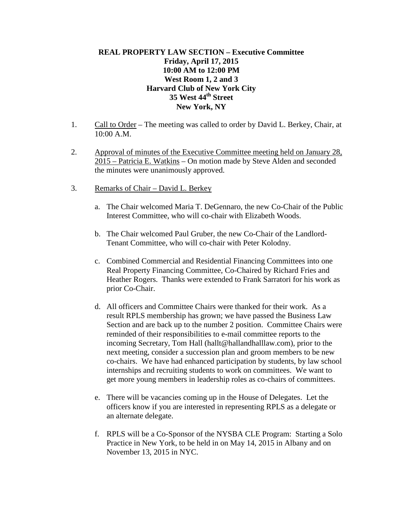## **REAL PROPERTY LAW SECTION – Executive Committee Friday, April 17, 2015 10:00 AM to 12:00 PM West Room 1, 2 and 3 Harvard Club of New York City 35 West 44th Street New York, NY**

- 1. Call to Order The meeting was called to order by David L. Berkey, Chair, at 10:00 A.M.
- 2. Approval of minutes of the Executive Committee meeting held on January 28, 2015 – Patricia E. Watkins – On motion made by Steve Alden and seconded the minutes were unanimously approved.
- 3. Remarks of Chair David L. Berkey
	- a. The Chair welcomed Maria T. DeGennaro, the new Co-Chair of the Public Interest Committee, who will co-chair with Elizabeth Woods.
	- b. The Chair welcomed Paul Gruber, the new Co-Chair of the Landlord-Tenant Committee, who will co-chair with Peter Kolodny.
	- c. Combined Commercial and Residential Financing Committees into one Real Property Financing Committee, Co-Chaired by Richard Fries and Heather Rogers. Thanks were extended to Frank Sarratori for his work as prior Co-Chair.
	- d. All officers and Committee Chairs were thanked for their work. As a result RPLS membership has grown; we have passed the Business Law Section and are back up to the number 2 position. Committee Chairs were reminded of their responsibilities to e-mail committee reports to the incoming Secretary, Tom Hall (hallt@hallandhalllaw.com), prior to the next meeting, consider a succession plan and groom members to be new co-chairs. We have had enhanced participation by students, by law school internships and recruiting students to work on committees. We want to get more young members in leadership roles as co-chairs of committees.
	- e. There will be vacancies coming up in the House of Delegates. Let the officers know if you are interested in representing RPLS as a delegate or an alternate delegate.
	- f. RPLS will be a Co-Sponsor of the NYSBA CLE Program: Starting a Solo Practice in New York, to be held in on May 14, 2015 in Albany and on November 13, 2015 in NYC.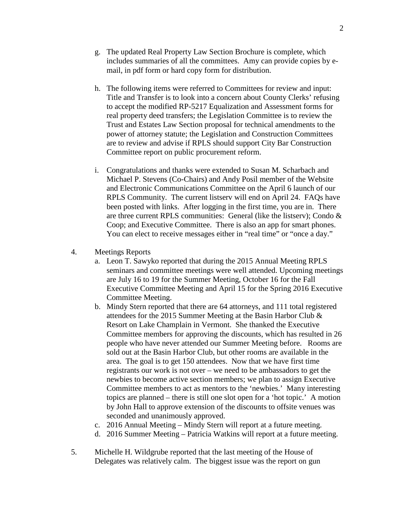- g. The updated Real Property Law Section Brochure is complete, which includes summaries of all the committees. Amy can provide copies by email, in pdf form or hard copy form for distribution.
- h. The following items were referred to Committees for review and input: Title and Transfer is to look into a concern about County Clerks' refusing to accept the modified RP-5217 Equalization and Assessment forms for real property deed transfers; the Legislation Committee is to review the Trust and Estates Law Section proposal for technical amendments to the power of attorney statute; the Legislation and Construction Committees are to review and advise if RPLS should support City Bar Construction Committee report on public procurement reform.
- i. Congratulations and thanks were extended to Susan M. Scharbach and Michael P. Stevens (Co-Chairs) and Andy Posil member of the Website and Electronic Communications Committee on the April 6 launch of our RPLS Community. The current listserv will end on April 24. FAQs have been posted with links. After logging in the first time, you are in. There are three current RPLS communities: General (like the listserv); Condo & Coop; and Executive Committee. There is also an app for smart phones. You can elect to receive messages either in "real time" or "once a day."
- 4. Meetings Reports
	- a. Leon T. Sawyko reported that during the 2015 Annual Meeting RPLS seminars and committee meetings were well attended. Upcoming meetings are July 16 to 19 for the Summer Meeting, October 16 for the Fall Executive Committee Meeting and April 15 for the Spring 2016 Executive Committee Meeting.
	- b. Mindy Stern reported that there are 64 attorneys, and 111 total registered attendees for the 2015 Summer Meeting at the Basin Harbor Club & Resort on Lake Champlain in Vermont. She thanked the Executive Committee members for approving the discounts, which has resulted in 26 people who have never attended our Summer Meeting before. Rooms are sold out at the Basin Harbor Club, but other rooms are available in the area. The goal is to get 150 attendees. Now that we have first time registrants our work is not over – we need to be ambassadors to get the newbies to become active section members; we plan to assign Executive Committee members to act as mentors to the 'newbies.' Many interesting topics are planned – there is still one slot open for a 'hot topic.' A motion by John Hall to approve extension of the discounts to offsite venues was seconded and unanimously approved.
	- c. 2016 Annual Meeting Mindy Stern will report at a future meeting.
	- d. 2016 Summer Meeting Patricia Watkins will report at a future meeting.
- 5. Michelle H. Wildgrube reported that the last meeting of the House of Delegates was relatively calm. The biggest issue was the report on gun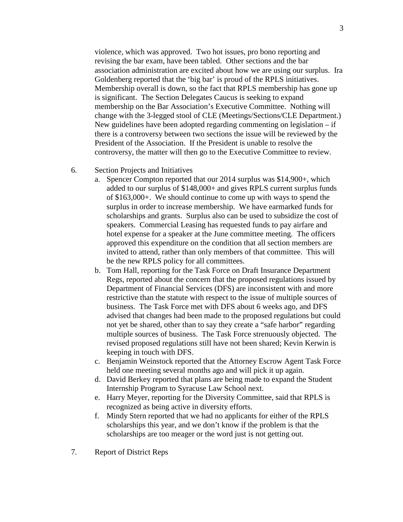violence, which was approved. Two hot issues, pro bono reporting and revising the bar exam, have been tabled. Other sections and the bar association administration are excited about how we are using our surplus. Ira Goldenberg reported that the 'big bar' is proud of the RPLS initiatives. Membership overall is down, so the fact that RPLS membership has gone up is significant. The Section Delegates Caucus is seeking to expand membership on the Bar Association's Executive Committee. Nothing will change with the 3-legged stool of CLE (Meetings/Sections/CLE Department.) New guidelines have been adopted regarding commenting on legislation – if there is a controversy between two sections the issue will be reviewed by the President of the Association. If the President is unable to resolve the controversy, the matter will then go to the Executive Committee to review.

- 6. Section Projects and Initiatives
	- a. Spencer Compton reported that our 2014 surplus was \$14,900+, which added to our surplus of \$148,000+ and gives RPLS current surplus funds of \$163,000+. We should continue to come up with ways to spend the surplus in order to increase membership. We have earmarked funds for scholarships and grants. Surplus also can be used to subsidize the cost of speakers. Commercial Leasing has requested funds to pay airfare and hotel expense for a speaker at the June committee meeting. The officers approved this expenditure on the condition that all section members are invited to attend, rather than only members of that committee. This will be the new RPLS policy for all committees.
	- b. Tom Hall, reporting for the Task Force on Draft Insurance Department Regs, reported about the concern that the proposed regulations issued by Department of Financial Services (DFS) are inconsistent with and more restrictive than the statute with respect to the issue of multiple sources of business. The Task Force met with DFS about 6 weeks ago, and DFS advised that changes had been made to the proposed regulations but could not yet be shared, other than to say they create a "safe harbor" regarding multiple sources of business. The Task Force strenuously objected. The revised proposed regulations still have not been shared; Kevin Kerwin is keeping in touch with DFS.
	- c. Benjamin Weinstock reported that the Attorney Escrow Agent Task Force held one meeting several months ago and will pick it up again.
	- d. David Berkey reported that plans are being made to expand the Student Internship Program to Syracuse Law School next.
	- e. Harry Meyer, reporting for the Diversity Committee, said that RPLS is recognized as being active in diversity efforts.
	- f. Mindy Stern reported that we had no applicants for either of the RPLS scholarships this year, and we don't know if the problem is that the scholarships are too meager or the word just is not getting out.
- 7. Report of District Reps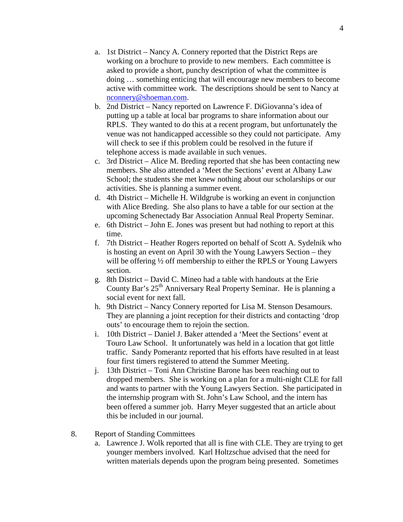- a. 1st District Nancy A. Connery reported that the District Reps are working on a brochure to provide to new members. Each committee is asked to provide a short, punchy description of what the committee is doing … something enticing that will encourage new members to become active with committee work. The descriptions should be sent to Nancy at [nconnery@shoeman.com.](mailto:nconnery@shoeman.com)
- b. 2nd District Nancy reported on Lawrence F. DiGiovanna's idea of putting up a table at local bar programs to share information about our RPLS. They wanted to do this at a recent program, but unfortunately the venue was not handicapped accessible so they could not participate. Amy will check to see if this problem could be resolved in the future if telephone access is made available in such venues.
- c. 3rd District Alice M. Breding reported that she has been contacting new members. She also attended a 'Meet the Sections' event at Albany Law School; the students she met knew nothing about our scholarships or our activities. She is planning a summer event.
- d. 4th District Michelle H. Wildgrube is working an event in conjunction with Alice Breding. She also plans to have a table for our section at the upcoming Schenectady Bar Association Annual Real Property Seminar.
- e. 6th District John E. Jones was present but had nothing to report at this time.
- f. 7th District Heather Rogers reported on behalf of Scott A. Sydelnik who is hosting an event on April 30 with the Young Lawyers Section – they will be offering  $\frac{1}{2}$  off membership to either the RPLS or Young Lawyers section.
- g. 8th District David C. Mineo had a table with handouts at the Erie County Bar's  $25<sup>th</sup>$  Anniversary Real Property Seminar. He is planning a social event for next fall.
- h. 9th District Nancy Connery reported for Lisa M. Stenson Desamours. They are planning a joint reception for their districts and contacting 'drop outs' to encourage them to rejoin the section.
- i. 10th District Daniel J. Baker attended a 'Meet the Sections' event at Touro Law School. It unfortunately was held in a location that got little traffic. Sandy Pomerantz reported that his efforts have resulted in at least four first timers registered to attend the Summer Meeting.
- j. 13th District Toni Ann Christine Barone has been reaching out to dropped members. She is working on a plan for a multi-night CLE for fall and wants to partner with the Young Lawyers Section. She participated in the internship program with St. John's Law School, and the intern has been offered a summer job. Harry Meyer suggested that an article about this be included in our journal.
- 8. Report of Standing Committees
	- a. Lawrence J. Wolk reported that all is fine with CLE. They are trying to get younger members involved. Karl Holtzschue advised that the need for written materials depends upon the program being presented. Sometimes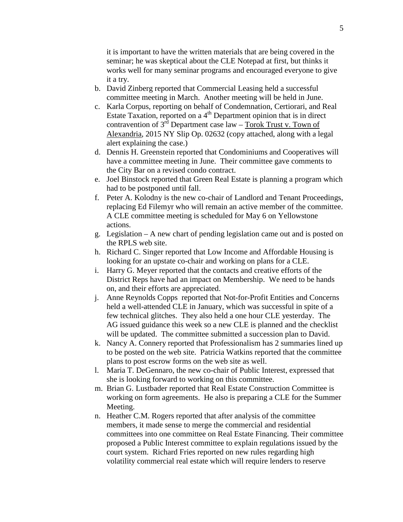it is important to have the written materials that are being covered in the seminar; he was skeptical about the CLE Notepad at first, but thinks it works well for many seminar programs and encouraged everyone to give it a try.

- b. David Zinberg reported that Commercial Leasing held a successful committee meeting in March. Another meeting will be held in June.
- c. Karla Corpus, reporting on behalf of Condemnation, Certiorari, and Real Estate Taxation, reported on a  $4<sup>th</sup>$  Department opinion that is in direct contravention of  $3^{rd}$  Department case law – Torok Trust v. Town of Alexandria, 2015 NY Slip Op. 02632 (copy attached, along with a legal alert explaining the case.)
- d. Dennis H. Greenstein reported that Condominiums and Cooperatives will have a committee meeting in June. Their committee gave comments to the City Bar on a revised condo contract.
- e. Joel Binstock reported that Green Real Estate is planning a program which had to be postponed until fall.
- f. Peter A. Kolodny is the new co-chair of Landlord and Tenant Proceedings, replacing Ed Filemyr who will remain an active member of the committee. A CLE committee meeting is scheduled for May 6 on Yellowstone actions.
- g. Legislation A new chart of pending legislation came out and is posted on the RPLS web site.
- h. Richard C. Singer reported that Low Income and Affordable Housing is looking for an upstate co-chair and working on plans for a CLE.
- i. Harry G. Meyer reported that the contacts and creative efforts of the District Reps have had an impact on Membership. We need to be hands on, and their efforts are appreciated.
- j. Anne Reynolds Copps reported that Not-for-Profit Entities and Concerns held a well-attended CLE in January, which was successful in spite of a few technical glitches. They also held a one hour CLE yesterday. The AG issued guidance this week so a new CLE is planned and the checklist will be updated. The committee submitted a succession plan to David.
- k. Nancy A. Connery reported that Professionalism has 2 summaries lined up to be posted on the web site. Patricia Watkins reported that the committee plans to post escrow forms on the web site as well.
- l. Maria T. DeGennaro, the new co-chair of Public Interest, expressed that she is looking forward to working on this committee.
- m. Brian G. Lustbader reported that Real Estate Construction Committee is working on form agreements. He also is preparing a CLE for the Summer Meeting.
- n. Heather C.M. Rogers reported that after analysis of the committee members, it made sense to merge the commercial and residential committees into one committee on Real Estate Financing. Their committee proposed a Public Interest committee to explain regulations issued by the court system. Richard Fries reported on new rules regarding high volatility commercial real estate which will require lenders to reserve